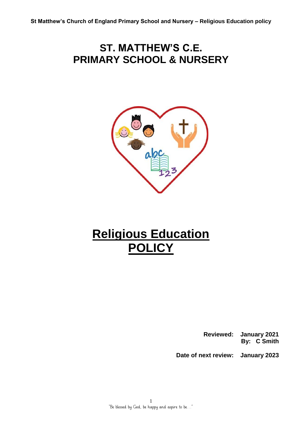## **ST. MATTHEW'S C.E. PRIMARY SCHOOL & NURSERY**



# **Religious Education POLICY**

 **Reviewed: January 2021 By: C Smith**

 **Date of next review: January 2023**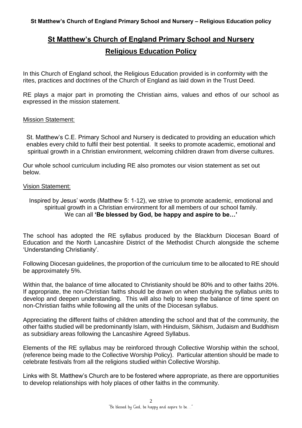### **St Matthew's Church of England Primary School and Nursery Religious Education Policy**

In this Church of England school, the Religious Education provided is in conformity with the rites, practices and doctrines of the Church of England as laid down in the Trust Deed.

RE plays a major part in promoting the Christian aims, values and ethos of our school as expressed in the mission statement.

#### Mission Statement:

St. Matthew's C.E. Primary School and Nursery is dedicated to providing an education which enables every child to fulfil their best potential. It seeks to promote academic, emotional and spiritual growth in a Christian environment, welcoming children drawn from diverse cultures.

Our whole school curriculum including RE also promotes our vision statement as set out below.

#### Vision Statement:

Inspired by Jesus' words (Matthew 5: 1-12), we strive to promote academic, emotional and spiritual growth in a Christian environment for all members of our school family. We can all **'Be blessed by God, be happy and aspire to be…'**

The school has adopted the RE syllabus produced by the Blackburn Diocesan Board of Education and the North Lancashire District of the Methodist Church alongside the scheme 'Understanding Christianity'.

Following Diocesan guidelines, the proportion of the curriculum time to be allocated to RE should be approximately 5%.

Within that, the balance of time allocated to Christianity should be 80% and to other faiths 20%. If appropriate, the non-Christian faiths should be drawn on when studying the syllabus units to develop and deepen understanding. This will also help to keep the balance of time spent on non-Christian faiths while following all the units of the Diocesan syllabus.

Appreciating the different faiths of children attending the school and that of the community, the other faiths studied will be predominantly Islam, with Hinduism, Sikhism, Judaism and Buddhism as subsidiary areas following the Lancashire Agreed Syllabus.

Elements of the RE syllabus may be reinforced through Collective Worship within the school, (reference being made to the Collective Worship Policy). Particular attention should be made to celebrate festivals from all the religions studied within Collective Worship.

Links with St. Matthew's Church are to be fostered where appropriate, as there are opportunities to develop relationships with holy places of other faiths in the community.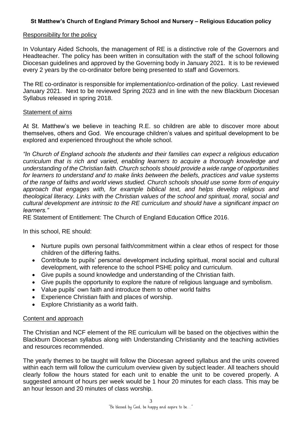#### **St Matthew's Church of England Primary School and Nursery – Religious Education policy**

#### Responsibility for the policy

In Voluntary Aided Schools, the management of RE is a distinctive role of the Governors and Headteacher. The policy has been written in consultation with the staff of the school following Diocesan guidelines and approved by the Governing body in January 2021. It is to be reviewed every 2 years by the co-ordinator before being presented to staff and Governors.

The RE co-ordinator is responsible for implementation/co-ordination of the policy. Last reviewed January 2021. Next to be reviewed Spring 2023 and in line with the new Blackburn Diocesan Syllabus released in spring 2018.

#### Statement of aims

At St. Matthew's we believe in teaching R.E. so children are able to discover more about themselves, others and God. We encourage children's values and spiritual development to be explored and experienced throughout the whole school.

*"In Church of England schools the students and their families can expect a religious education curriculum that is rich and varied, enabling learners to acquire a thorough knowledge and understanding of the Christian faith. Church schools should provide a wide range of opportunities for learners to understand and to make links between the beliefs, practices and value systems of the range of faiths and world views studied. Church schools should use some form of enquiry approach that engages with, for example biblical text, and helps develop religious and theological literacy. Links with the Christian values of the school and spiritual, moral, social and cultural development are intrinsic to the RE curriculum and should have a significant impact on learners."* 

RE Statement of Entitlement: The Church of England Education Office 2016.

In this school, RE should:

- Nurture pupils own personal faith/commitment within a clear ethos of respect for those children of the differing faiths.
- Contribute to pupils' personal development including spiritual, moral social and cultural development, with reference to the school PSHE policy and curriculum.
- Give pupils a sound knowledge and understanding of the Christian faith.
- Give pupils the opportunity to explore the nature of religious language and symbolism.
- Value pupils' own faith and introduce them to other world faiths
- Experience Christian faith and places of worship.
- Explore Christianity as a world faith.

#### Content and approach

The Christian and NCF element of the RE curriculum will be based on the objectives within the Blackburn Diocesan syllabus along with Understanding Christianity and the teaching activities and resources recommended.

The yearly themes to be taught will follow the Diocesan agreed syllabus and the units covered within each term will follow the curriculum overview given by subject leader. All teachers should clearly follow the hours stated for each unit to enable the unit to be covered properly. A suggested amount of hours per week would be 1 hour 20 minutes for each class. This may be an hour lesson and 20 minutes of class worship.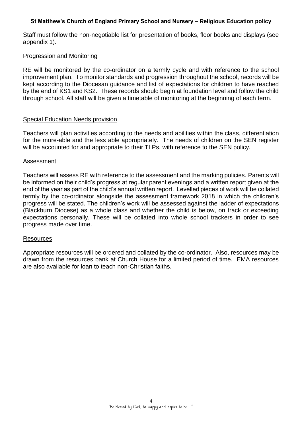#### **St Matthew's Church of England Primary School and Nursery – Religious Education policy**

Staff must follow the non-negotiable list for presentation of books, floor books and displays (see appendix 1).

#### Progression and Monitoring

RE will be monitored by the co-ordinator on a termly cycle and with reference to the school improvement plan. To monitor standards and progression throughout the school, records will be kept according to the Diocesan guidance and list of expectations for children to have reached by the end of KS1 and KS2. These records should begin at foundation level and follow the child through school. All staff will be given a timetable of monitoring at the beginning of each term.

#### Special Education Needs provision

Teachers will plan activities according to the needs and abilities within the class, differentiation for the more-able and the less able appropriately. The needs of children on the SEN register will be accounted for and appropriate to their TLPs, with reference to the SEN policy.

#### Assessment

Teachers will assess RE with reference to the assessment and the marking policies. Parents will be informed on their child's progress at regular parent evenings and a written report given at the end of the year as part of the child's annual written report. Levelled pieces of work will be collated termly by the co-ordinator alongside the assessment framework 2018 in which the children's progress will be stated. The children's work will be assessed against the ladder of expectations (Blackburn Diocese) as a whole class and whether the child is below, on track or exceeding expectations personally. These will be collated into whole school trackers in order to see progress made over time.

#### Resources

Appropriate resources will be ordered and collated by the co-ordinator. Also, resources may be drawn from the resources bank at Church House for a limited period of time. EMA resources are also available for loan to teach non-Christian faiths.